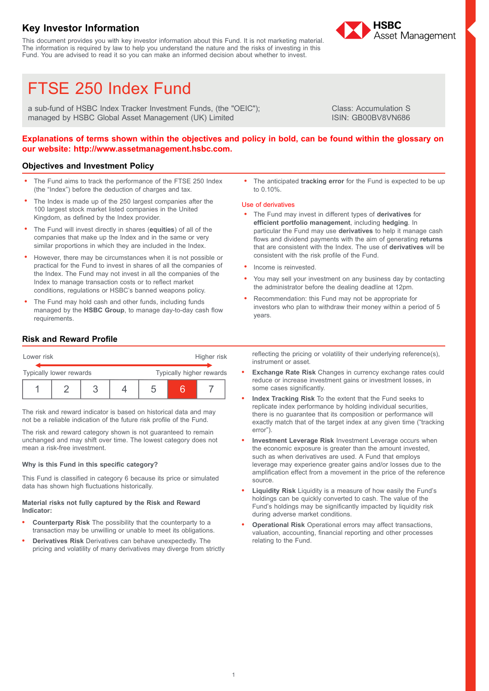## **Key Investor Information**

This document provides you with key investor information about this Fund. It is not marketing material. The information is required by law to help you understand the nature and the risks of investing in this Fund. You are advised to read it so you can make an informed decision about whether to invest.



&

# FTSE 250 Index Fund

a sub-fund of HSBC Index Tracker Investment Funds, (the "OEIC"); managed by HSBC Global Asset Management (UK) Limited

Class: Accumulation S ISIN: GB00BV8VN686

## Explanations of terms shown within the objectives and policy in bold, can be found within the glossary on **our website: http://www.assetmanagement.hsbc.com.**

## **Objectives and Investment Policy**

- . The Fund aims to track the performance of the FTSE 250 Index (the "Index") before the deduction of charges and tax.
- . The Index is made up of the 250 largest companies after the 100 largest stock market listed companies in the United Kingdom, as defined by the Index provider.
- . The Fund will invest directly in shares (**equities**) of all of the companies that make up the Index and in the same or very similar proportions in which they are included in the Index.
- . However, there may be circumstances when it is not possible or practical for the Fund to invest in shares of all the companies of the Index. The Fund may not invest in all the companies of the Index to manage transaction costs or to reflect market conditions, regulations or HSBC's banned weapons policy.
- . The Fund may hold cash and other funds, including funds managed by the **HSBC Group**, to manage day-to-day cash flow requirements.

. The anticipated **tracking error** for the Fund is expected to be up to 0.10%.

#### Use of derivatives

- . The Fund may invest in different types of **derivatives** for **efficient portfolio management**, including **hedging**. In particular the Fund may use **derivatives** to help it manage cash flows and dividend payments with the aim of generating **returns** that are consistent with the Index. The use of **derivatives** will be consistent with the risk profile of the Fund.
- . Income is reinvested.
- You may sell your investment on any business day by contacting the administrator before the dealing deadline at 12pm.
- . Recommendation: this Fund may not be appropriate for investors who plan to withdraw their money within a period of 5 years.

## **Risk and Reward Profile**

| Lower risk              |  |  | Higher risk |                          |  |  |  |
|-------------------------|--|--|-------------|--------------------------|--|--|--|
| Typically lower rewards |  |  |             | Typically higher rewards |  |  |  |
|                         |  |  |             |                          |  |  |  |

The risk and reward indicator is based on historical data and may not be a reliable indication of the future risk profile of the Fund.

The risk and reward category shown is not guaranteed to remain unchanged and may shift over time. The lowest category does not mean a risk-free investment.

#### **Why is this Fund in this specific category?**

This Fund is classified in category 6 because its price or simulated data has shown high fluctuations historically.

#### **Material risks not fully captured by the Risk and Reward Indicator:**

- . **Counterparty Risk** The possibility that the counterparty to a transaction may be unwilling or unable to meet its obligations.
- . **Derivatives Risk** Derivatives can behave unexpectedly. The pricing and volatility of many derivatives may diverge from strictly

reflecting the pricing or volatility of their underlying reference(s), instrument or asset.

- . **Exchange Rate Risk** Changes in currency exchange rates could reduce or increase investment gains or investment losses, in some cases significantly.
- . **Index Tracking Risk** To the extent that the Fund seeks to replicate index performance by holding individual securities, there is no guarantee that its composition or performance will exactly match that of the target index at any given time ("tracking error").
- . **Investment Leverage Risk** Investment Leverage occurs when the economic exposure is greater than the amount invested, such as when derivatives are used. A Fund that employs leverage may experience greater gains and/or losses due to the amplification effect from a movement in the price of the reference source.
- . **Liquidity Risk** Liquidity is a measure of how easily the Fund's holdings can be quickly converted to cash. The value of the Fund's holdings may be significantly impacted by liquidity risk during adverse market conditions.
- . **Operational Risk** Operational errors may affect transactions, valuation, accounting, financial reporting and other processes relating to the Fund.